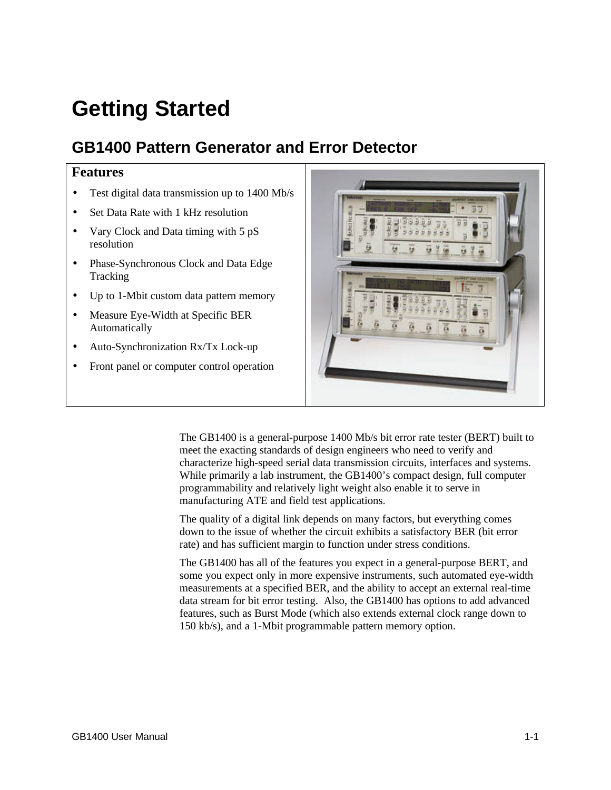# **Getting Started**

# **GB1400 Pattern Generator and Error Detector**

## **Features**

- Test digital data transmission up to 1400 Mb/s
- Set Data Rate with 1 kHz resolution
- Vary Clock and Data timing with 5 pS resolution
- Phase-Synchronous Clock and Data Edge Tracking
- Up to 1-Mbit custom data pattern memory
- Measure Eye-Width at Specific BER Automatically
- Auto-Synchronization Rx/Tx Lock-up
- Front panel or computer control operation



The GB1400 is a general-purpose 1400 Mb/s bit error rate tester (BERT) built to meet the exacting standards of design engineers who need to verify and characterize high-speed serial data transmission circuits, interfaces and systems. While primarily a lab instrument, the GB1400's compact design, full computer programmability and relatively light weight also enable it to serve in manufacturing ATE and field test applications.

The quality of a digital link depends on many factors, but everything comes down to the issue of whether the circuit exhibits a satisfactory BER (bit error rate) and has sufficient margin to function under stress conditions.

The GB1400 has all of the features you expect in a general-purpose BERT, and some you expect only in more expensive instruments, such automated eye-width measurements at a specified BER, and the ability to accept an external real-time data stream for bit error testing. Also, the GB1400 has options to add advanced features, such as Burst Mode (which also extends external clock range down to 150 kb/s), and a 1-Mbit programmable pattern memory option.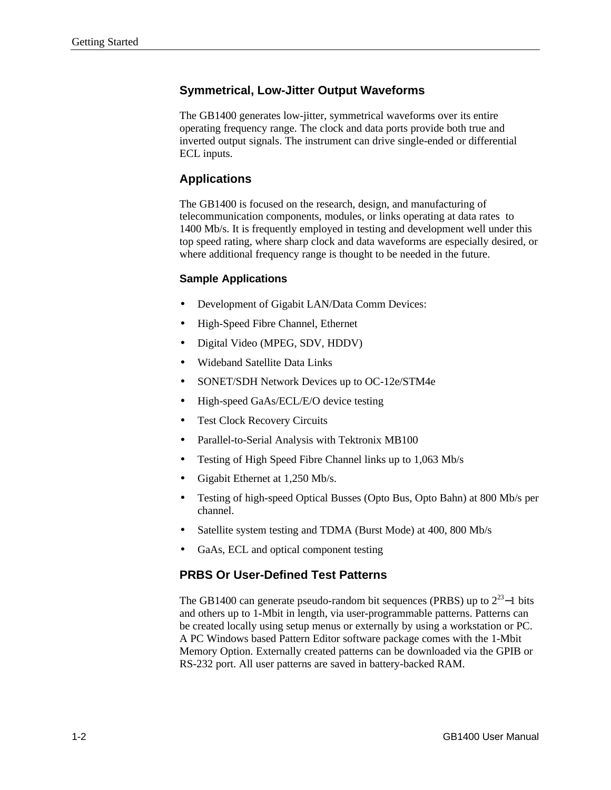# **Symmetrical, Low-Jitter Output Waveforms**

The GB1400 generates low-jitter, symmetrical waveforms over its entire operating frequency range. The clock and data ports provide both true and inverted output signals. The instrument can drive single-ended or differential ECL inputs.

# **Applications**

The GB1400 is focused on the research, design, and manufacturing of telecommunication components, modules, or links operating at data rates to 1400 Mb/s. It is frequently employed in testing and development well under this top speed rating, where sharp clock and data waveforms are especially desired, or where additional frequency range is thought to be needed in the future.

#### **Sample Applications**

- Development of Gigabit LAN/Data Comm Devices:
- High-Speed Fibre Channel, Ethernet
- Digital Video (MPEG, SDV, HDDV)
- Wideband Satellite Data Links
- SONET/SDH Network Devices up to OC-12e/STM4e
- High-speed GaAs/ECL/E/O device testing
- Test Clock Recovery Circuits
- Parallel-to-Serial Analysis with Tektronix MB100
- Testing of High Speed Fibre Channel links up to 1,063 Mb/s
- Gigabit Ethernet at 1,250 Mb/s.
- Testing of high-speed Optical Busses (Opto Bus, Opto Bahn) at 800 Mb/s per channel.
- Satellite system testing and TDMA (Burst Mode) at 400, 800 Mb/s
- GaAs, ECL and optical component testing

## **PRBS Or User-Defined Test Patterns**

The GB1400 can generate pseudo-random bit sequences (PRBS) up to  $2^{23}$ –1 bits and others up to 1-Mbit in length, via user-programmable patterns. Patterns can be created locally using setup menus or externally by using a workstation or PC. A PC Windows based Pattern Editor software package comes with the 1-Mbit Memory Option. Externally created patterns can be downloaded via the GPIB or RS-232 port. All user patterns are saved in battery-backed RAM.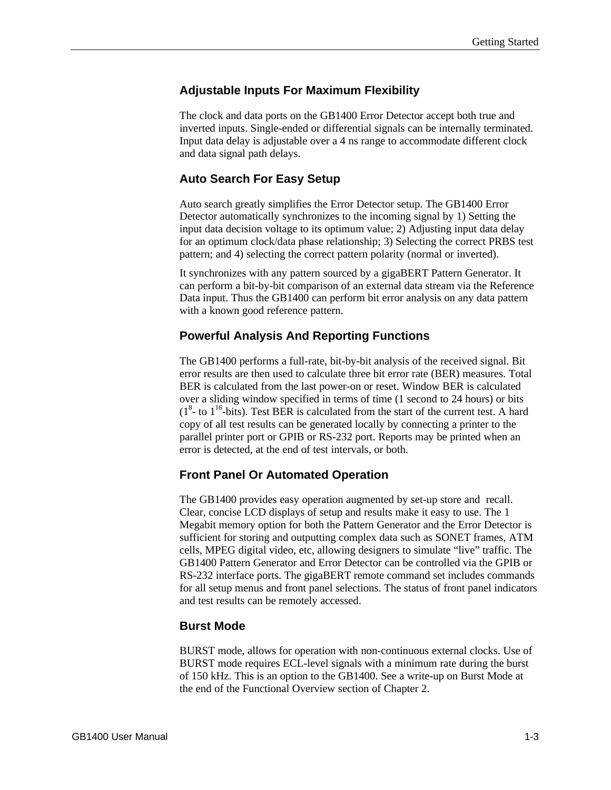## **Adjustable Inputs For Maximum Flexibility**

The clock and data ports on the GB1400 Error Detector accept both true and inverted inputs. Single-ended or differential signals can be internally terminated. Input data delay is adjustable over a 4 ns range to accommodate different clock and data signal path delays.

#### **Auto Search For Easy Setup**

Auto search greatly simplifies the Error Detector setup. The GB1400 Error Detector automatically synchronizes to the incoming signal by 1) Setting the input data decision voltage to its optimum value; 2) Adjusting input data delay for an optimum clock/data phase relationship; 3) Selecting the correct PRBS test pattern; and 4) selecting the correct pattern polarity (normal or inverted).

It synchronizes with any pattern sourced by a gigaBERT Pattern Generator. It can perform a bit-by-bit comparison of an external data stream via the Reference Data input. Thus the GB1400 can perform bit error analysis on any data pattern with a known good reference pattern.

#### **Powerful Analysis And Reporting Functions**

The GB1400 performs a full-rate, bit-by-bit analysis of the received signal. Bit error results are then used to calculate three bit error rate (BER) measures. Total BER is calculated from the last power-on or reset. Window BER is calculated over a sliding window specified in terms of time (1 second to 24 hours) or bits  $(1<sup>8</sup>$ - to  $1<sup>16</sup>$ -bits). Test BER is calculated from the start of the current test. A hard copy of all test results can be generated locally by connecting a printer to the parallel printer port or GPIB or RS-232 port. Reports may be printed when an error is detected, at the end of test intervals, or both.

#### **Front Panel Or Automated Operation**

The GB1400 provides easy operation augmented by set-up store and recall. Clear, concise LCD displays of setup and results make it easy to use. The 1 Megabit memory option for both the Pattern Generator and the Error Detector is sufficient for storing and outputting complex data such as SONET frames, ATM cells, MPEG digital video, etc, allowing designers to simulate "live" traffic. The GB1400 Pattern Generator and Error Detector can be controlled via the GPIB or RS-232 interface ports. The gigaBERT remote command set includes commands for all setup menus and front panel selections. The status of front panel indicators and test results can be remotely accessed.

#### **Burst Mode**

BURST mode, allows for operation with non-continuous external clocks. Use of BURST mode requires ECL-level signals with a minimum rate during the burst of 150 kHz. This is an option to the GB1400. See a write-up on Burst Mode at the end of the Functional Overview section of Chapter 2.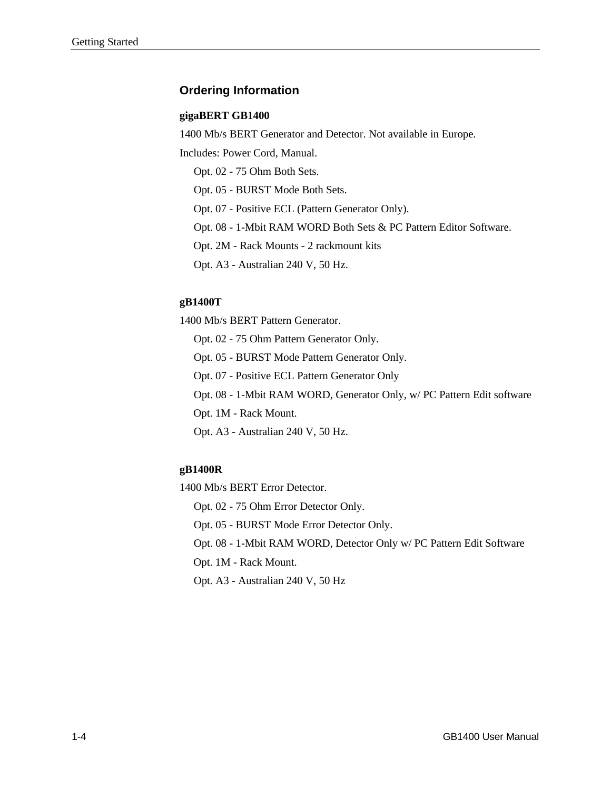# **Ordering Information**

#### **gigaBERT GB1400**

1400 Mb/s BERT Generator and Detector. Not available in Europe.

Includes: Power Cord, Manual.

Opt. 02 - 75 Ohm Both Sets.

Opt. 05 - BURST Mode Both Sets.

Opt. 07 - Positive ECL (Pattern Generator Only).

Opt. 08 - 1-Mbit RAM WORD Both Sets & PC Pattern Editor Software.

Opt. 2M - Rack Mounts - 2 rackmount kits

Opt. A3 - Australian 240 V, 50 Hz.

#### **gB1400T**

1400 Mb/s BERT Pattern Generator.

- Opt. 02 75 Ohm Pattern Generator Only.
- Opt. 05 BURST Mode Pattern Generator Only.
- Opt. 07 Positive ECL Pattern Generator Only
- Opt. 08 1-Mbit RAM WORD, Generator Only, w/ PC Pattern Edit software
- Opt. 1M Rack Mount.
- Opt. A3 Australian 240 V, 50 Hz.

#### **gB1400R**

1400 Mb/s BERT Error Detector.

Opt. 02 - 75 Ohm Error Detector Only.

Opt. 05 - BURST Mode Error Detector Only.

Opt. 08 - 1-Mbit RAM WORD, Detector Only w/ PC Pattern Edit Software

Opt. 1M - Rack Mount.

Opt. A3 - Australian 240 V, 50 Hz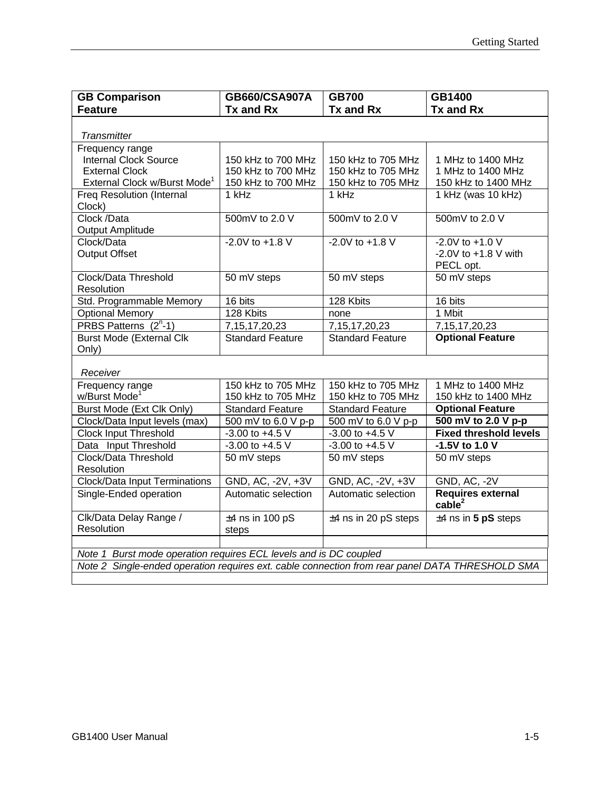| <b>GB Comparison</b>                                                                            | GB660/CSA907A           | <b>GB700</b>            | GB1400                        |  |
|-------------------------------------------------------------------------------------------------|-------------------------|-------------------------|-------------------------------|--|
| <b>Feature</b>                                                                                  | Tx and Rx               | Tx and Rx               | Tx and Rx                     |  |
|                                                                                                 |                         |                         |                               |  |
| <b>Transmitter</b>                                                                              |                         |                         |                               |  |
| Frequency range                                                                                 |                         |                         |                               |  |
| <b>Internal Clock Source</b>                                                                    | 150 kHz to 700 MHz      | 150 kHz to 705 MHz      | 1 MHz to 1400 MHz             |  |
| <b>External Clock</b>                                                                           | 150 kHz to 700 MHz      | 150 kHz to 705 MHz      | 1 MHz to 1400 MHz             |  |
| External Clock w/Burst Mode <sup>1</sup>                                                        | 150 kHz to 700 MHz      | 150 kHz to 705 MHz      | 150 kHz to 1400 MHz           |  |
| <b>Freq Resolution (Internal</b><br>Clock)                                                      | 1 kHz                   | 1 kHz                   | 1 kHz (was 10 kHz)            |  |
| Clock /Data                                                                                     | 500mV to 2.0 V          | 500mV to 2.0 V          | 500mV to 2.0 V                |  |
| <b>Output Amplitude</b>                                                                         |                         |                         |                               |  |
| Clock/Data                                                                                      | $-2.0V$ to $+1.8$ V     | $-2.0V$ to $+1.8$ V     | $-2.0V$ to $+1.0V$            |  |
| <b>Output Offset</b>                                                                            |                         |                         | -2.0V to $+1.8$ V with        |  |
|                                                                                                 |                         |                         | PECL opt.                     |  |
| Clock/Data Threshold<br>Resolution                                                              | 50 mV steps             | 50 mV steps             | 50 mV steps                   |  |
| Std. Programmable Memory                                                                        | 16 bits                 | 128 Kbits               | 16 bits                       |  |
| <b>Optional Memory</b>                                                                          | 128 Kbits               | none                    | 1 Mbit                        |  |
| PRBS Patterns (2 <sup>n</sup> -1)                                                               | 7, 15, 17, 20, 23       | 7, 15, 17, 20, 23       | 7, 15, 17, 20, 23             |  |
| <b>Burst Mode (External Clk</b><br>Only)                                                        | <b>Standard Feature</b> | <b>Standard Feature</b> | <b>Optional Feature</b>       |  |
| Receiver                                                                                        |                         |                         |                               |  |
| Frequency range                                                                                 | 150 kHz to 705 MHz      | 150 kHz to 705 MHz      | 1 MHz to 1400 MHz             |  |
| w/Burst Mode <sup>1</sup>                                                                       | 150 kHz to 705 MHz      | 150 kHz to 705 MHz      | 150 kHz to 1400 MHz           |  |
| Burst Mode (Ext Clk Only)                                                                       | <b>Standard Feature</b> | Standard Feature        | <b>Optional Feature</b>       |  |
| Clock/Data Input levels (max)                                                                   | 500 mV to 6.0 V p-p     | 500 mV to 6.0 V p-p     | 500 mV to 2.0 V p-p           |  |
| Clock Input Threshold                                                                           | $-3.00$ to $+4.5$ V     | $-3.00$ to $+4.5$ V     | <b>Fixed threshold levels</b> |  |
| Data Input Threshold                                                                            | $-3.00$ to $+4.5$ V     | $-3.00$ to $+4.5$ V     | -1.5V to 1.0 V                |  |
| Clock/Data Threshold                                                                            | 50 mV steps             | 50 mV steps             | 50 mV steps                   |  |
| Resolution                                                                                      |                         |                         |                               |  |
| <b>Clock/Data Input Terminations</b>                                                            | GND, AC, -2V, +3V       | GND, AC, -2V, +3V       | <b>GND, AC, -2V</b>           |  |
| Single-Ended operation                                                                          | Automatic selection     | Automatic selection     | <b>Requires external</b>      |  |
|                                                                                                 |                         |                         | cable <sup>2</sup>            |  |
| Clk/Data Delay Range /                                                                          | $±4$ ns in 100 pS       | $±4$ ns in 20 pS steps  | $±4$ ns in 5 pS steps         |  |
| Resolution                                                                                      | steps                   |                         |                               |  |
|                                                                                                 |                         |                         |                               |  |
| Note 1 Burst mode operation requires ECL levels and is DC coupled                               |                         |                         |                               |  |
| Note 2 Single-ended operation requires ext. cable connection from rear panel DATA THRESHOLD SMA |                         |                         |                               |  |
|                                                                                                 |                         |                         |                               |  |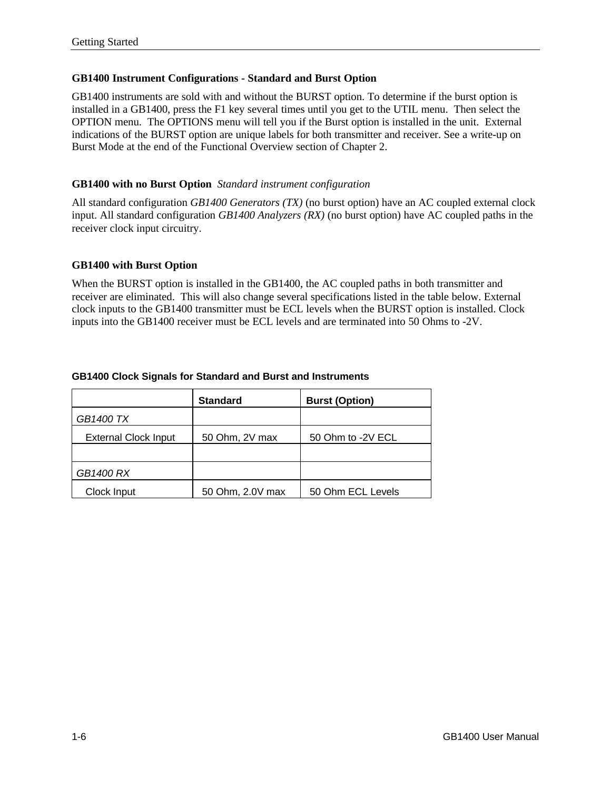#### **GB1400 Instrument Configurations - Standard and Burst Option**

GB1400 instruments are sold with and without the BURST option. To determine if the burst option is installed in a GB1400, press the F1 key several times until you get to the UTIL menu. Then select the OPTION menu. The OPTIONS menu will tell you if the Burst option is installed in the unit. External indications of the BURST option are unique labels for both transmitter and receiver. See a write-up on Burst Mode at the end of the Functional Overview section of Chapter 2.

#### **GB1400 with no Burst Option** *Standard instrument configuration*

All standard configuration *GB1400 Generators (TX)* (no burst option) have an AC coupled external clock input. All standard configuration *GB1400 Analyzers (RX)* (no burst option) have AC coupled paths in the receiver clock input circuitry.

#### **GB1400 with Burst Option**

When the BURST option is installed in the GB1400, the AC coupled paths in both transmitter and receiver are eliminated. This will also change several specifications listed in the table below. External clock inputs to the GB1400 transmitter must be ECL levels when the BURST option is installed. Clock inputs into the GB1400 receiver must be ECL levels and are terminated into 50 Ohms to -2V.

|  | <b>GB1400 Clock Signals for Standard and Burst and Instruments</b> |  |  |
|--|--------------------------------------------------------------------|--|--|
|--|--------------------------------------------------------------------|--|--|

|                             | <b>Standard</b>  | <b>Burst (Option)</b> |
|-----------------------------|------------------|-----------------------|
| GB1400 TX                   |                  |                       |
| <b>External Clock Input</b> | 50 Ohm, 2V max   | 50 Ohm to -2V ECL     |
|                             |                  |                       |
| <b>GB1400 RX</b>            |                  |                       |
| Clock Input                 | 50 Ohm, 2.0V max | 50 Ohm ECL Levels     |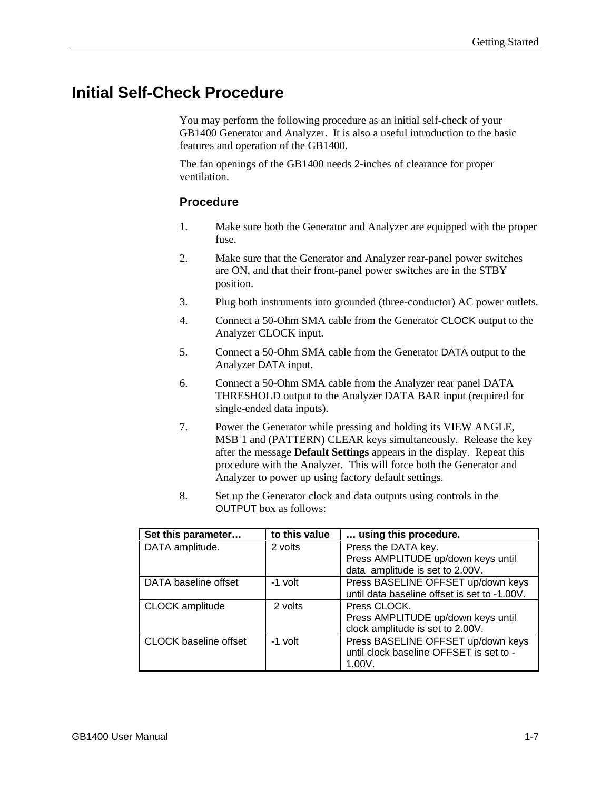# **Initial Self-Check Procedure**

You may perform the following procedure as an initial self-check of your GB1400 Generator and Analyzer. It is also a useful introduction to the basic features and operation of the GB1400.

The fan openings of the GB1400 needs 2-inches of clearance for proper ventilation.

#### **Procedure**

- 1. Make sure both the Generator and Analyzer are equipped with the proper fuse.
- 2. Make sure that the Generator and Analyzer rear-panel power switches are ON, and that their front-panel power switches are in the STBY position.
- 3. Plug both instruments into grounded (three-conductor) AC power outlets.
- 4. Connect a 50-Ohm SMA cable from the Generator CLOCK output to the Analyzer CLOCK input.
- 5. Connect a 50-Ohm SMA cable from the Generator DATA output to the Analyzer DATA input.
- 6. Connect a 50-Ohm SMA cable from the Analyzer rear panel DATA THRESHOLD output to the Analyzer DATA BAR input (required for single-ended data inputs).
- 7. Power the Generator while pressing and holding its VIEW ANGLE, MSB 1 and (PATTERN) CLEAR keys simultaneously. Release the key after the message **Default Settings** appears in the display. Repeat this procedure with the Analyzer. This will force both the Generator and Analyzer to power up using factory default settings.
- 8. Set up the Generator clock and data outputs using controls in the OUTPUT box as follows:

| Set this parameter           | to this value | using this procedure.                                                         |
|------------------------------|---------------|-------------------------------------------------------------------------------|
| DATA amplitude.              | 2 volts       | Press the DATA key.                                                           |
|                              |               | Press AMPLITUDE up/down keys until                                            |
|                              |               | data amplitude is set to 2.00V.                                               |
| DATA baseline offset         | -1 volt       | Press BASELINE OFFSET up/down keys                                            |
|                              |               | until data baseline offset is set to -1.00V.                                  |
| <b>CLOCK</b> amplitude       | 2 volts       | Press CLOCK.                                                                  |
|                              |               | Press AMPLITUDE up/down keys until                                            |
|                              |               | clock amplitude is set to 2.00V.                                              |
| <b>CLOCK</b> baseline offset | -1 volt       | Press BASELINE OFFSET up/down keys<br>until clock baseline OFFSET is set to - |
|                              |               | 1.00V.                                                                        |